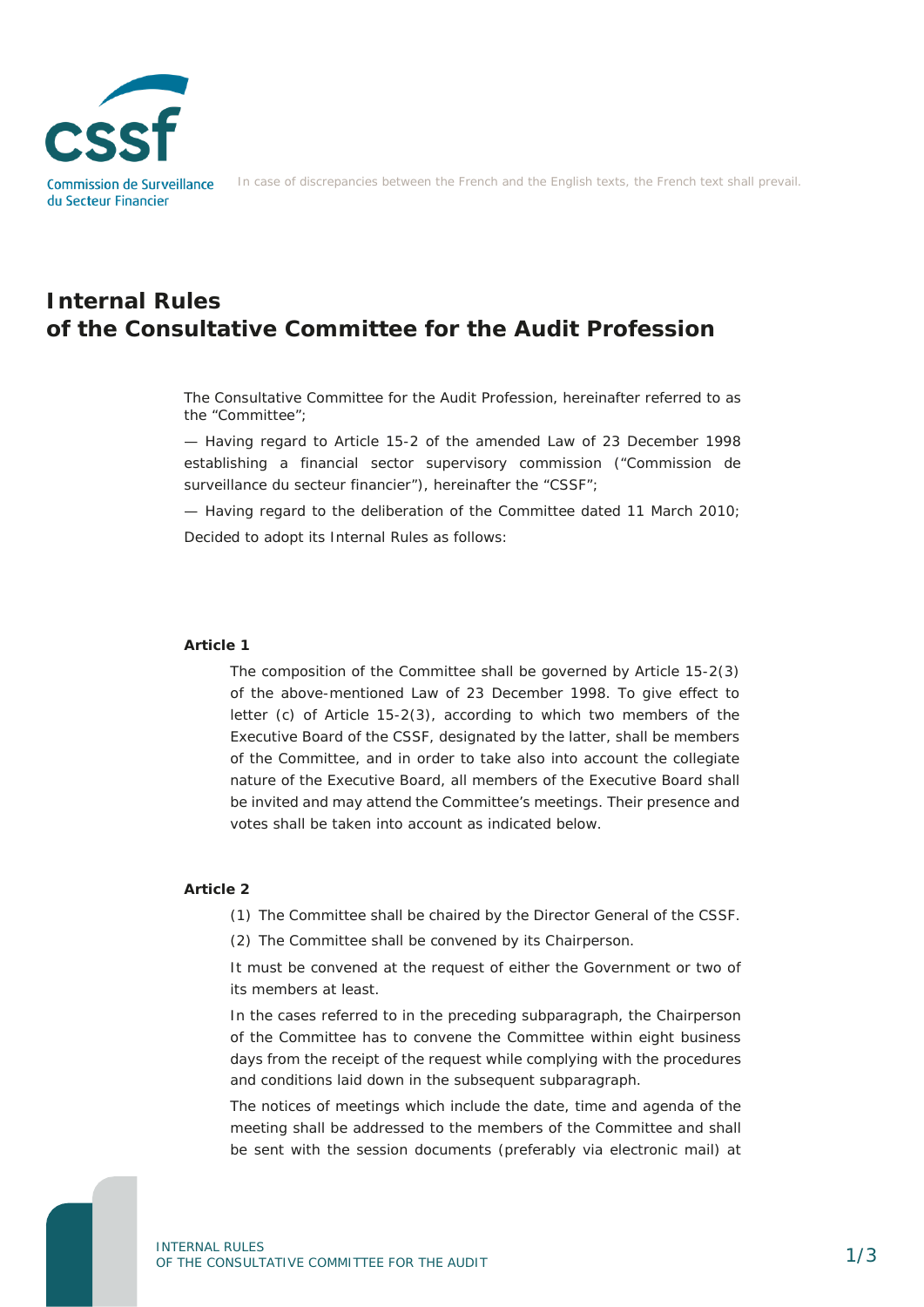

In case of discrepancies between the French and the English texts, the French text shall prevail.

# **Internal Rules of the Consultative Committee for the Audit Profession**

The Consultative Committee for the Audit Profession, hereinafter referred to as the "Committee";

— Having regard to Article 15-2 of the amended Law of 23 December 1998 establishing a financial sector supervisory commission ("Commission de surveillance du secteur financier"), hereinafter the "CSSF";

— Having regard to the deliberation of the Committee dated 11 March 2010; Decided to adopt its Internal Rules as follows:

### **Article 1**

The composition of the Committee shall be governed by Article 15-2(3) of the above-mentioned Law of 23 December 1998. To give effect to letter (c) of Article 15-2(3), according to which two members of the Executive Board of the CSSF, designated by the latter, shall be members of the Committee, and in order to take also into account the collegiate nature of the Executive Board, all members of the Executive Board shall be invited and may attend the Committee's meetings. Their presence and votes shall be taken into account as indicated below.

### **Article 2**

(1) The Committee shall be chaired by the Director General of the CSSF.

(2) The Committee shall be convened by its Chairperson.

It must be convened at the request of either the Government or two of its members at least.

In the cases referred to in the preceding subparagraph, the Chairperson of the Committee has to convene the Committee within eight business days from the receipt of the request while complying with the procedures and conditions laid down in the subsequent subparagraph.

The notices of meetings which include the date, time and agenda of the meeting shall be addressed to the members of the Committee and shall be sent with the session documents (preferably via electronic mail) at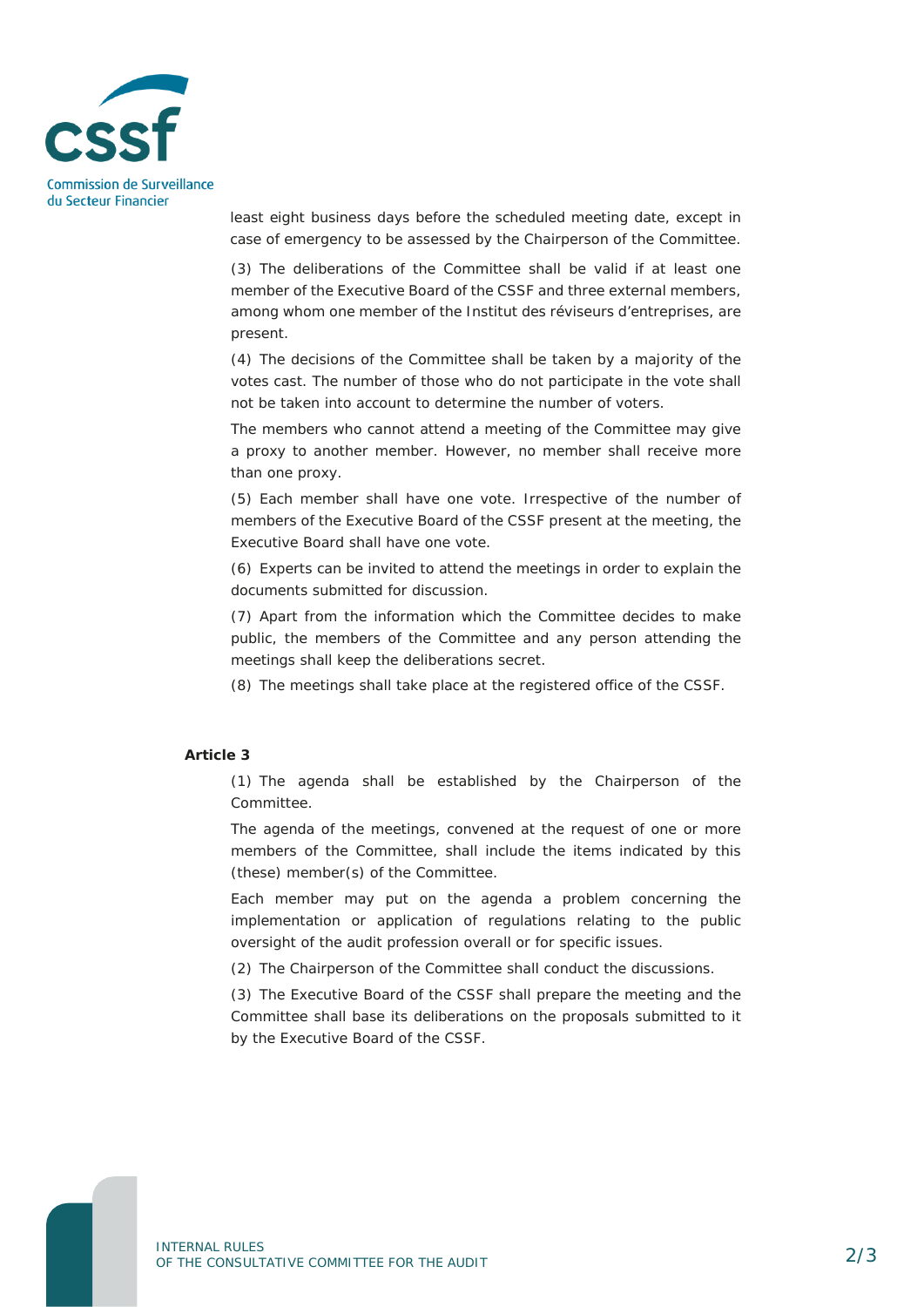

least eight business days before the scheduled meeting date, except in case of emergency to be assessed by the Chairperson of the Committee.

(3) The deliberations of the Committee shall be valid if at least one member of the Executive Board of the CSSF and three external members, among whom one member of the Institut des réviseurs d'entreprises, are present.

(4) The decisions of the Committee shall be taken by a majority of the votes cast. The number of those who do not participate in the vote shall not be taken into account to determine the number of voters.

The members who cannot attend a meeting of the Committee may give a proxy to another member. However, no member shall receive more than one proxy.

(5) Each member shall have one vote. Irrespective of the number of members of the Executive Board of the CSSF present at the meeting, the Executive Board shall have one vote.

(6) Experts can be invited to attend the meetings in order to explain the documents submitted for discussion.

(7) Apart from the information which the Committee decides to make public, the members of the Committee and any person attending the meetings shall keep the deliberations secret.

(8) The meetings shall take place at the registered office of the CSSF.

# **Article 3**

(1) The agenda shall be established by the Chairperson of the Committee.

The agenda of the meetings, convened at the request of one or more members of the Committee, shall include the items indicated by this (these) member(s) of the Committee.

Each member may put on the agenda a problem concerning the implementation or application of regulations relating to the public oversight of the audit profession overall or for specific issues.

(2) The Chairperson of the Committee shall conduct the discussions.

(3) The Executive Board of the CSSF shall prepare the meeting and the Committee shall base its deliberations on the proposals submitted to it by the Executive Board of the CSSF.